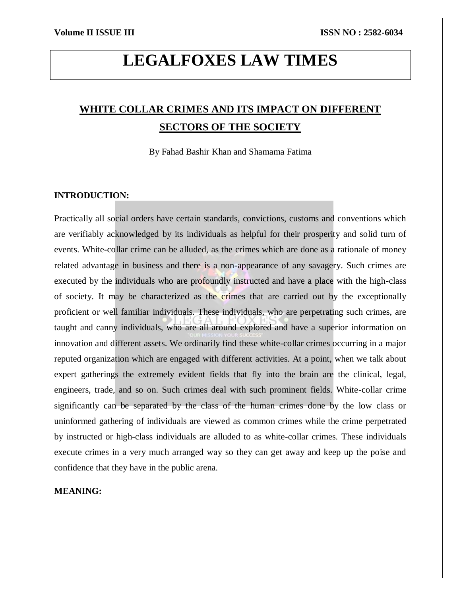# **LEGALFOXES LAW TIMES**

## **WHITE COLLAR CRIMES AND ITS IMPACT ON DIFFERENT SECTORS OF THE SOCIETY**

By Fahad Bashir Khan and Shamama Fatima

### **INTRODUCTION:**

Practically all social orders have certain standards, convictions, customs and conventions which are verifiably acknowledged by its individuals as helpful for their prosperity and solid turn of events. White-collar crime can be alluded, as the crimes which are done as a rationale of money related advantage in business and there is a non-appearance of any savagery. Such crimes are executed by the individuals who are profoundly instructed and have a place with the high-class of society. It may be characterized as the crimes that are carried out by the exceptionally proficient or well familiar individuals. These individuals, who are perpetrating such crimes, are taught and canny individuals, who are all around explored and have a superior information on innovation and different assets. We ordinarily find these white-collar crimes occurring in a major reputed organization which are engaged with different activities. At a point, when we talk about expert gatherings the extremely evident fields that fly into the brain are the clinical, legal, engineers, trade, and so on. Such crimes deal with such prominent fields. White-collar crime significantly can be separated by the class of the human crimes done by the low class or uninformed gathering of individuals are viewed as common crimes while the crime perpetrated by instructed or high-class individuals are alluded to as white-collar crimes. These individuals execute crimes in a very much arranged way so they can get away and keep up the poise and confidence that they have in the public arena.

#### **MEANING:**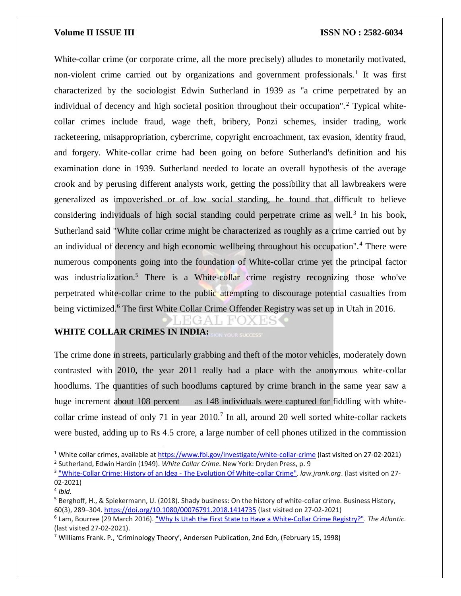White-collar crime (or corporate crime, all the more precisely) alludes to monetarily motivated, non-violent crime carried out by organizations and government professionals.<sup>1</sup> It was first characterized by the sociologist Edwin Sutherland in 1939 as "a crime perpetrated by an individual of decency and high societal position throughout their occupation".<sup>2</sup> Typical whitecollar crimes include fraud, wage theft, bribery, Ponzi schemes, insider trading, work racketeering, misappropriation, cybercrime, copyright encroachment, tax evasion, identity fraud, and forgery. White-collar crime had been going on before Sutherland's definition and his examination done in 1939. Sutherland needed to locate an overall hypothesis of the average crook and by perusing different analysts work, getting the possibility that all lawbreakers were generalized as impoverished or of low social standing, he found that difficult to believe considering individuals of high social standing could perpetrate crime as well.<sup>3</sup> In his book, Sutherland said "White collar crime might be characterized as roughly as a crime carried out by an individual of decency and high economic wellbeing throughout his occupation".<sup>4</sup> There were numerous components going into the foundation of White-collar crime yet the principal factor was industrialization.<sup>5</sup> There is a White-collar crime registry recognizing those who've perpetrated white-collar crime to the public attempting to discourage potential casualties from being victimized.<sup>6</sup> The first White Collar Crime Offender Registry was set up in Utah in 2016.

### **WHITE COLLAR CRIMES IN INDIA:**

The crime done in streets, particularly grabbing and theft of the motor vehicles, moderately down contrasted with 2010, the year 2011 really had a place with the anonymous white-collar hoodlums. The quantities of such hoodlums captured by crime branch in the same year saw a huge increment about 108 percent — as 148 individuals were captured for fiddling with whitecollar crime instead of only 71 in year  $2010$ .<sup>7</sup> In all, around 20 well sorted white-collar rackets were busted, adding up to Rs 4.5 crore, a large number of cell phones utilized in the commission

 $\overline{a}$ 

<sup>1</sup> White collar crimes, available a[t https://www.fbi.gov/investigate/white-collar-crime](https://www.fbi.gov/investigate/white-collar-crime) (last visited on 27-02-2021) 2 Sutherland, Edwin Hardin (1949). *White Collar Crime*. New York: Dryden Press, p. 9

<sup>&</sup>lt;sup>3</sup> ["White-Collar Crime: History of an Idea -](https://law.jrank.org/pages/2312/White-Collar-Crime-History-an-Idea-evolution-white-collar-crime.html) The Evolution Of White-collar Crime". *law.jrank.org*. (last visited on 27-02-2021)

<sup>4</sup> *Ibid.*

<sup>5</sup> Berghoff, H., & Spiekermann, U. (2018). Shady business: On the history of white-collar crime. Business History, 60(3), 289–304[. https://doi.org/10.1080/00076791.2018.1414735](https://doi.org/10.1080/00076791.2018.1414735) (last visited on 27-02-2021)

<sup>6</sup> Lam, Bourree (29 March 2016)[. "Why Is Utah the First State to Have a White-Collar Crime Registry?".](https://www.theatlantic.com/business/archive/2016/03/utah-white-collar-crime/475896/) *The Atlantic*. (last visited 27-02-2021).

<sup>7</sup> Williams Frank. P., 'Criminology Theory', Andersen Publication, 2nd Edn, (February 15, 1998)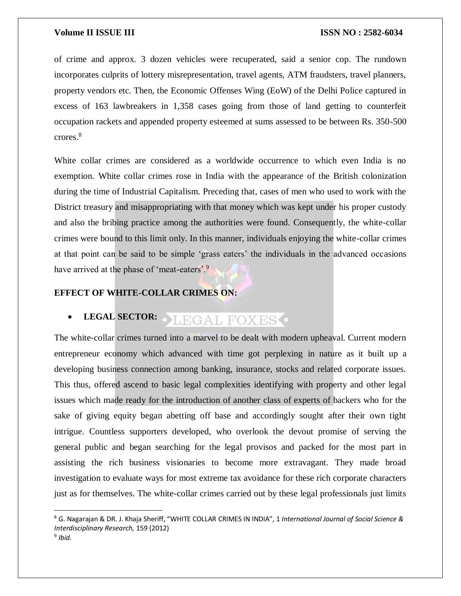of crime and approx. 3 dozen vehicles were recuperated, said a senior cop. The rundown incorporates culprits of lottery misrepresentation, travel agents, ATM fraudsters, travel planners, property vendors etc. Then, the Economic Offenses Wing (EoW) of the Delhi Police captured in excess of 163 lawbreakers in 1,358 cases going from those of land getting to counterfeit occupation rackets and appended property esteemed at sums assessed to be between Rs. 350-500 crores.<sup>8</sup>

White collar crimes are considered as a worldwide occurrence to which even India is no exemption. White collar crimes rose in India with the appearance of the British colonization during the time of Industrial Capitalism. Preceding that, cases of men who used to work with the District treasury and misappropriating with that money which was kept under his proper custody and also the bribing practice among the authorities were found. Consequently, the white-collar crimes were bound to this limit only. In this manner, individuals enjoying the white-collar crimes at that point can be said to be simple 'grass eaters' the individuals in the advanced occasions have arrived at the phase of 'meat-eaters'.<sup>9</sup>

#### **EFFECT OF WHITE-COLLAR CRIMES ON:**

#### **LEGAL SECTOR:** LEGAL FOXES<sup>.</sup>

The white-collar crimes turned into a marvel to be dealt with modern upheaval. Current modern entrepreneur economy which advanced with time got perplexing in nature as it built up a developing business connection among banking, insurance, stocks and related corporate issues. This thus, offered ascend to basic legal complexities identifying with property and other legal issues which made ready for the introduction of another class of experts of backers who for the sake of giving equity began abetting off base and accordingly sought after their own tight intrigue. Countless supporters developed, who overlook the devout promise of serving the general public and began searching for the legal provisos and packed for the most part in assisting the rich business visionaries to become more extravagant. They made broad investigation to evaluate ways for most extreme tax avoidance for these rich corporate characters just as for themselves. The white-collar crimes carried out by these legal professionals just limits

 $\overline{a}$ 

<sup>8</sup> G. Nagarajan & DR. J. Khaja Sheriff, "WHITE COLLAR CRIMES IN INDIA", 1 *International Journal of Social Science & Interdisciplinary Research,* 159 (2012)

<sup>9</sup> *Ibid.*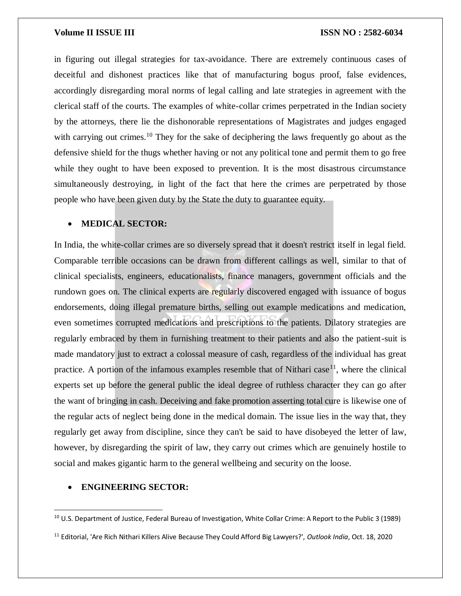in figuring out illegal strategies for tax-avoidance. There are extremely continuous cases of deceitful and dishonest practices like that of manufacturing bogus proof, false evidences, accordingly disregarding moral norms of legal calling and late strategies in agreement with the clerical staff of the courts. The examples of white-collar crimes perpetrated in the Indian society by the attorneys, there lie the dishonorable representations of Magistrates and judges engaged with carrying out crimes.<sup>10</sup> They for the sake of deciphering the laws frequently go about as the defensive shield for the thugs whether having or not any political tone and permit them to go free while they ought to have been exposed to prevention. It is the most disastrous circumstance simultaneously destroying, in light of the fact that here the crimes are perpetrated by those people who have been given duty by the State the duty to guarantee equity.

### **MEDICAL SECTOR:**

In India, the white-collar crimes are so diversely spread that it doesn't restrict itself in legal field. Comparable terrible occasions can be drawn from different callings as well, similar to that of clinical specialists, engineers, educationalists, finance managers, government officials and the rundown goes on. The clinical experts are regularly discovered engaged with issuance of bogus endorsements, doing illegal premature births, selling out example medications and medication, even sometimes corrupted medications and prescriptions to the patients. Dilatory strategies are regularly embraced by them in furnishing treatment to their patients and also the patient-suit is made mandatory just to extract a colossal measure of cash, regardless of the individual has great practice. A portion of the infamous examples resemble that of Nithari case<sup>11</sup>, where the clinical experts set up before the general public the ideal degree of ruthless character they can go after the want of bringing in cash. Deceiving and fake promotion asserting total cure is likewise one of the regular acts of neglect being done in the medical domain. The issue lies in the way that, they regularly get away from discipline, since they can't be said to have disobeyed the letter of law, however, by disregarding the spirit of law, they carry out crimes which are genuinely hostile to social and makes gigantic harm to the general wellbeing and security on the loose.

#### **ENGINEERING SECTOR:**

 $\overline{\phantom{a}}$ 

<sup>11</sup> Editorial, 'Are Rich Nithari Killers Alive Because They Could Afford Big Lawyers?', *Outlook India*, Oct. 18, 2020

<sup>10</sup> U.S. Department of Justice, Federal Bureau of Investigation, White Collar Crime: A Report to the Public 3 (1989)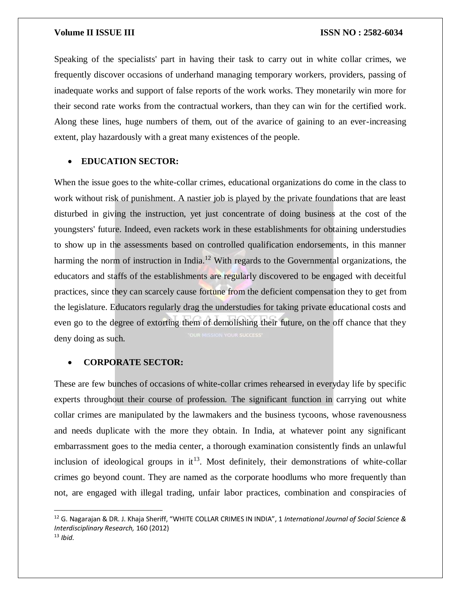Speaking of the specialists' part in having their task to carry out in white collar crimes, we frequently discover occasions of underhand managing temporary workers, providers, passing of inadequate works and support of false reports of the work works. They monetarily win more for their second rate works from the contractual workers, than they can win for the certified work. Along these lines, huge numbers of them, out of the avarice of gaining to an ever-increasing extent, play hazardously with a great many existences of the people.

### **EDUCATION SECTOR:**

When the issue goes to the white-collar crimes, educational organizations do come in the class to work without risk of punishment. A nastier job is played by the private foundations that are least disturbed in giving the instruction, yet just concentrate of doing business at the cost of the youngsters' future. Indeed, even rackets work in these establishments for obtaining understudies to show up in the assessments based on controlled qualification endorsements, in this manner harming the norm of instruction in India.<sup>12</sup> With regards to the Governmental organizations, the educators and staffs of the establishments are regularly discovered to be engaged with deceitful practices, since they can scarcely cause fortune from the deficient compensation they to get from the legislature. Educators regularly drag the understudies for taking private educational costs and even go to the degree of extorting them of demolishing their future, on the off chance that they deny doing as such.

#### **CORPORATE SECTOR:**

These are few bunches of occasions of white-collar crimes rehearsed in everyday life by specific experts throughout their course of profession. The significant function in carrying out white collar crimes are manipulated by the lawmakers and the business tycoons, whose ravenousness and needs duplicate with the more they obtain. In India, at whatever point any significant embarrassment goes to the media center, a thorough examination consistently finds an unlawful inclusion of ideological groups in  $it^{13}$ . Most definitely, their demonstrations of white-collar crimes go beyond count. They are named as the corporate hoodlums who more frequently than not, are engaged with illegal trading, unfair labor practices, combination and conspiracies of

 $\overline{a}$ 

<sup>12</sup> G. Nagarajan & DR. J. Khaja Sheriff, "WHITE COLLAR CRIMES IN INDIA", 1 *International Journal of Social Science & Interdisciplinary Research,* 160 (2012)

<sup>13</sup> *Ibid.*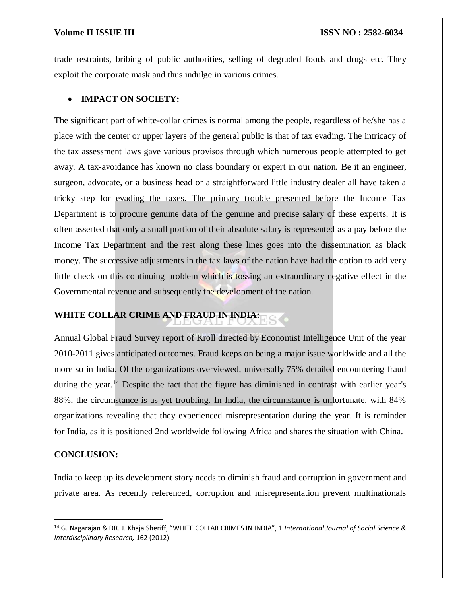trade restraints, bribing of public authorities, selling of degraded foods and drugs etc. They exploit the corporate mask and thus indulge in various crimes.

### **IMPACT ON SOCIETY:**

The significant part of white-collar crimes is normal among the people, regardless of he/she has a place with the center or upper layers of the general public is that of tax evading. The intricacy of the tax assessment laws gave various provisos through which numerous people attempted to get away. A tax-avoidance has known no class boundary or expert in our nation. Be it an engineer, surgeon, advocate, or a business head or a straightforward little industry dealer all have taken a tricky step for evading the taxes. The primary trouble presented before the Income Tax Department is to procure genuine data of the genuine and precise salary of these experts. It is often asserted that only a small portion of their absolute salary is represented as a pay before the Income Tax Department and the rest along these lines goes into the dissemination as black money. The successive adjustments in the tax laws of the nation have had the option to add very little check on this continuing problem which is tossing an extraordinary negative effect in the Governmental revenue and subsequently the development of the nation.

## **WHITE COLLAR CRIME AND FRAUD IN INDIA:**

Annual Global Fraud Survey report of Kroll directed by Economist Intelligence Unit of the year 2010-2011 gives anticipated outcomes. Fraud keeps on being a major issue worldwide and all the more so in India. Of the organizations overviewed, universally 75% detailed encountering fraud during the year.<sup>14</sup> Despite the fact that the figure has diminished in contrast with earlier year's 88%, the circumstance is as yet troubling. In India, the circumstance is unfortunate, with 84% organizations revealing that they experienced misrepresentation during the year. It is reminder for India, as it is positioned 2nd worldwide following Africa and shares the situation with China.

#### **CONCLUSION:**

 $\overline{\phantom{a}}$ 

India to keep up its development story needs to diminish fraud and corruption in government and private area. As recently referenced, corruption and misrepresentation prevent multinationals

<sup>14</sup> G. Nagarajan & DR. J. Khaja Sheriff, "WHITE COLLAR CRIMES IN INDIA", 1 *International Journal of Social Science & Interdisciplinary Research,* 162 (2012)